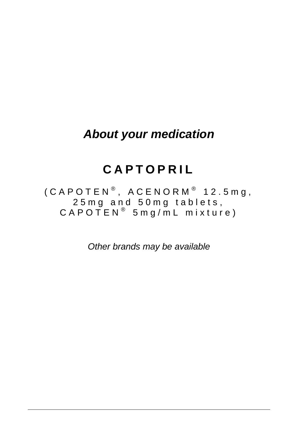## *About your medication*

# **CAPTOPRIL**

 $($  CAPOTEN<sup>®</sup>, ACENORM<sup>®</sup> 12.5mg, 25mg and 50mg tablets,  $\mathsf{C}\,\mathsf{A}\,\mathsf{P}\,\mathsf{O}\,\mathsf{T}\,\mathsf{E}\,\mathsf{N}^{\,\circledcirc}\,$  5 m g / m <code>L mixture</code> )

*Other brands may be available*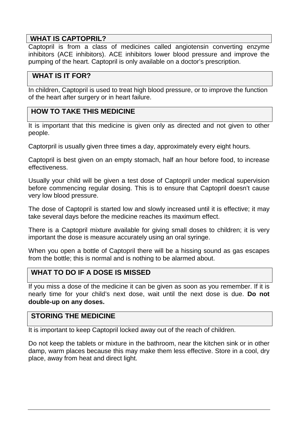#### **WHAT IS CAPTOPRIL?**

Captopril is from a class of medicines called angiotensin converting enzyme inhibitors (ACE inhibitors). ACE inhibitors lower blood pressure and improve the pumping of the heart. Captopril is only available on a doctor's prescription.

## **WHAT IS IT FOR?**

In children, Captopril is used to treat high blood pressure, or to improve the function of the heart after surgery or in heart failure.

## **HOW TO TAKE THIS MEDICINE**

It is important that this medicine is given only as directed and not given to other people.

Captorpril is usually given three times a day, approximately every eight hours.

Captopril is best given on an empty stomach, half an hour before food, to increase effectiveness.

Usually your child will be given a test dose of Captopril under medical supervision before commencing regular dosing. This is to ensure that Captopril doesn't cause very low blood pressure.

The dose of Captopril is started low and slowly increased until it is effective; it may take several days before the medicine reaches its maximum effect.

There is a Captopril mixture available for giving small doses to children; it is very important the dose is measure accurately using an oral syringe.

When you open a bottle of Captopril there will be a hissing sound as gas escapes from the bottle; this is normal and is nothing to be alarmed about.

#### **WHAT TO DO IF A DOSE IS MISSED**

If you miss a dose of the medicine it can be given as soon as you remember. If it is nearly time for your child's next dose, wait until the next dose is due. **Do not double-up on any doses.**

#### **STORING THE MEDICINE**

It is important to keep Captopril locked away out of the reach of children.

Do not keep the tablets or mixture in the bathroom, near the kitchen sink or in other damp, warm places because this may make them less effective. Store in a cool, dry place, away from heat and direct light.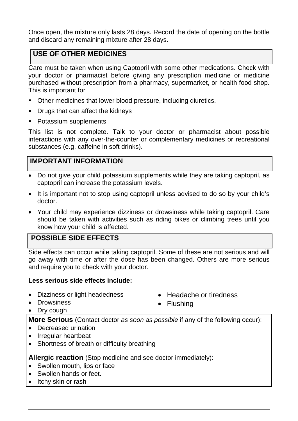Once open, the mixture only lasts 28 days. Record the date of opening on the bottle and discard any remaining mixture after 28 days.

## **USE OF OTHER MEDICINES**

Care must be taken when using Captopril with some other medications. Check with your doctor or pharmacist before giving any prescription medicine or medicine purchased without prescription from a pharmacy, supermarket, or health food shop. This is important for

- Other medicines that lower blood pressure, including diuretics.
- Drugs that can affect the kidneys
- Potassium supplements

This list is not complete. Talk to your doctor or pharmacist about possible interactions with any over-the-counter or complementary medicines or recreational substances (e.g. caffeine in soft drinks).

## **IMPORTANT INFORMATION**

- Do not give your child potassium supplements while they are taking captopril, as captopril can increase the potassium levels.
- It is important not to stop using captopril unless advised to do so by your child's doctor.
- Your child may experience dizziness or drowsiness while taking captopril. Care should be taken with activities such as riding bikes or climbing trees until you know how your child is affected.

## **POSSIBLE SIDE EFFECTS**

Side effects can occur while taking captopril. Some of these are not serious and will go away with time or after the dose has been changed. Others are more serious and require you to check with your doctor.

#### **Less serious side effects include:**

- Dizziness or light headedness
- Drowsiness
- Headache or tiredness
- Flushing

• Dry cough

**More Serious** (Contact doctor *as soon as possible* if any of the following occur):

- Decreased urination
- Irregular heartbeat
- Shortness of breath or difficulty breathing

**Allergic reaction** (Stop medicine and see doctor immediately):

- Swollen mouth, lips or face
- Swollen hands or feet.
- Itchy skin or rash